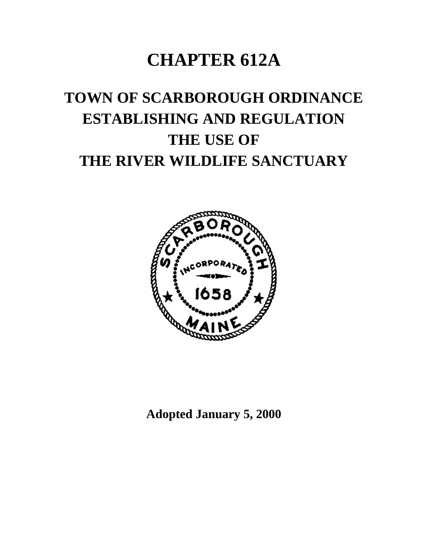## **CHAPTER 612A**

# **TOWN OF SCARBOROUGH ORDINANCE ESTABLISHING AND REGULATION THE USE OF THE RIVER WILDLIFE SANCTUARY**



**Adopted January 5, 2000**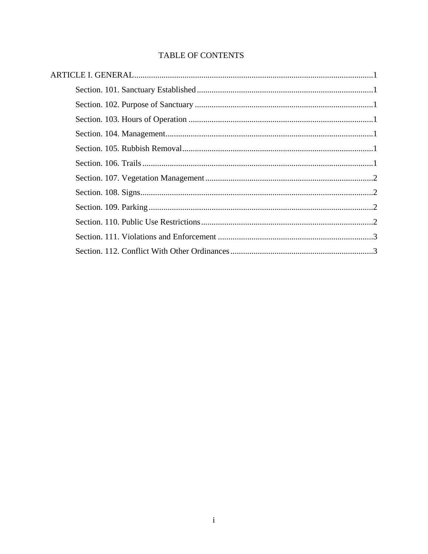### TABLE OF CONTENTS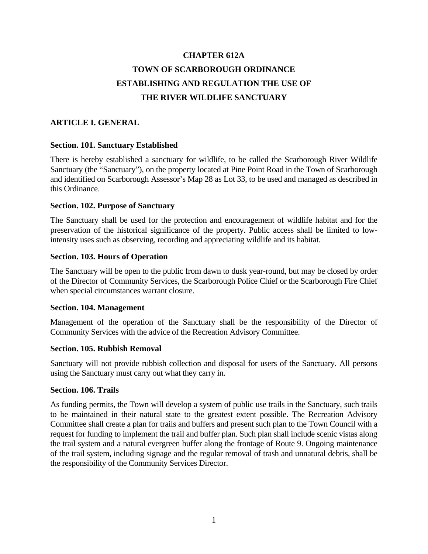### **CHAPTER 612A TOWN OF SCARBOROUGH ORDINANCE ESTABLISHING AND REGULATION THE USE OF THE RIVER WILDLIFE SANCTUARY**

#### **ARTICLE I. GENERAL**

#### **Section. 101. Sanctuary Established**

There is hereby established a sanctuary for wildlife, to be called the Scarborough River Wildlife Sanctuary (the "Sanctuary"), on the property located at Pine Point Road in the Town of Scarborough and identified on Scarborough Assessor's Map 28 as Lot 33, to be used and managed as described in this Ordinance.

#### **Section. 102. Purpose of Sanctuary**

The Sanctuary shall be used for the protection and encouragement of wildlife habitat and for the preservation of the historical significance of the property. Public access shall be limited to lowintensity uses such as observing, recording and appreciating wildlife and its habitat.

#### **Section. 103. Hours of Operation**

The Sanctuary will be open to the public from dawn to dusk year-round, but may be closed by order of the Director of Community Services, the Scarborough Police Chief or the Scarborough Fire Chief when special circumstances warrant closure.

#### **Section. 104. Management**

Management of the operation of the Sanctuary shall be the responsibility of the Director of Community Services with the advice of the Recreation Advisory Committee.

#### **Section. 105. Rubbish Removal**

Sanctuary will not provide rubbish collection and disposal for users of the Sanctuary. All persons using the Sanctuary must carry out what they carry in.

#### **Section. 106. Trails**

As funding permits, the Town will develop a system of public use trails in the Sanctuary, such trails to be maintained in their natural state to the greatest extent possible. The Recreation Advisory Committee shall create a plan for trails and buffers and present such plan to the Town Council with a request for funding to implement the trail and buffer plan. Such plan shall include scenic vistas along the trail system and a natural evergreen buffer along the frontage of Route 9. Ongoing maintenance of the trail system, including signage and the regular removal of trash and unnatural debris, shall be the responsibility of the Community Services Director.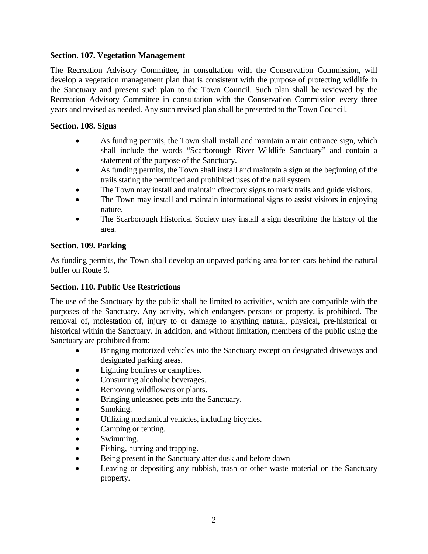#### **Section. 107. Vegetation Management**

The Recreation Advisory Committee, in consultation with the Conservation Commission, will develop a vegetation management plan that is consistent with the purpose of protecting wildlife in the Sanctuary and present such plan to the Town Council. Such plan shall be reviewed by the Recreation Advisory Committee in consultation with the Conservation Commission every three years and revised as needed. Any such revised plan shall be presented to the Town Council.

#### **Section. 108. Signs**

- As funding permits, the Town shall install and maintain a main entrance sign, which shall include the words "Scarborough River Wildlife Sanctuary" and contain a statement of the purpose of the Sanctuary.
- As funding permits, the Town shall install and maintain a sign at the beginning of the trails stating the permitted and prohibited uses of the trail system.
- The Town may install and maintain directory signs to mark trails and guide visitors.
- The Town may install and maintain informational signs to assist visitors in enjoying nature.
- The Scarborough Historical Society may install a sign describing the history of the area.

#### **Section. 109. Parking**

As funding permits, the Town shall develop an unpaved parking area for ten cars behind the natural buffer on Route 9.

#### **Section. 110. Public Use Restrictions**

The use of the Sanctuary by the public shall be limited to activities, which are compatible with the purposes of the Sanctuary. Any activity, which endangers persons or property, is prohibited. The removal of, molestation of, injury to or damage to anything natural, physical, pre-historical or historical within the Sanctuary. In addition, and without limitation, members of the public using the Sanctuary are prohibited from:

- Bringing motorized vehicles into the Sanctuary except on designated driveways and designated parking areas.
- Lighting bonfires or campfires.
- Consuming alcoholic beverages.
- Removing wildflowers or plants.
- Bringing unleashed pets into the Sanctuary.
- Smoking.
- Utilizing mechanical vehicles, including bicycles.
- Camping or tenting.
- Swimming.
- Fishing, hunting and trapping.
- Being present in the Sanctuary after dusk and before dawn
- Leaving or depositing any rubbish, trash or other waste material on the Sanctuary property.